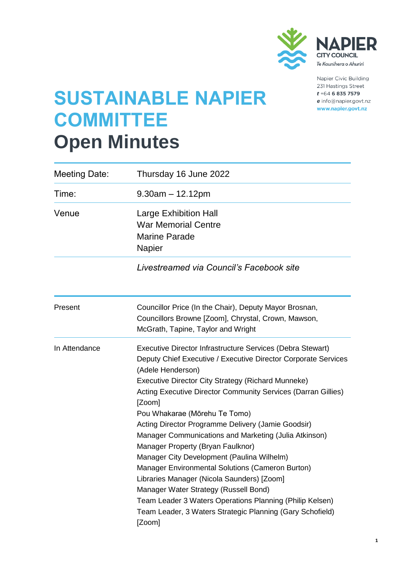

Napier Civic Building 231 Hastings Street  $t + 64$  6 835 7579 e info@napier.govt.nz www.napier.govt.nz

## **SUSTAINABLE NAPIER COMMITTEE Open Minutes**

| Meeting Date: | Thursday 16 June 2022                                                                                                                                                                                                                                                                                                                                                                                                                                                                                                                                                                                                                                                                                                                                                                                                    |
|---------------|--------------------------------------------------------------------------------------------------------------------------------------------------------------------------------------------------------------------------------------------------------------------------------------------------------------------------------------------------------------------------------------------------------------------------------------------------------------------------------------------------------------------------------------------------------------------------------------------------------------------------------------------------------------------------------------------------------------------------------------------------------------------------------------------------------------------------|
| Time:         | $9.30$ am $-12.12$ pm                                                                                                                                                                                                                                                                                                                                                                                                                                                                                                                                                                                                                                                                                                                                                                                                    |
| Venue         | <b>Large Exhibition Hall</b><br><b>War Memorial Centre</b><br><b>Marine Parade</b><br>Napier                                                                                                                                                                                                                                                                                                                                                                                                                                                                                                                                                                                                                                                                                                                             |
|               | Livestreamed via Council's Facebook site                                                                                                                                                                                                                                                                                                                                                                                                                                                                                                                                                                                                                                                                                                                                                                                 |
| Present       | Councillor Price (In the Chair), Deputy Mayor Brosnan,<br>Councillors Browne [Zoom], Chrystal, Crown, Mawson,<br>McGrath, Tapine, Taylor and Wright                                                                                                                                                                                                                                                                                                                                                                                                                                                                                                                                                                                                                                                                      |
| In Attendance | Executive Director Infrastructure Services (Debra Stewart)<br>Deputy Chief Executive / Executive Director Corporate Services<br>(Adele Henderson)<br><b>Executive Director City Strategy (Richard Munneke)</b><br><b>Acting Executive Director Community Services (Darran Gillies)</b><br>[Zoom]<br>Pou Whakarae (Mōrehu Te Tomo)<br>Acting Director Programme Delivery (Jamie Goodsir)<br>Manager Communications and Marketing (Julia Atkinson)<br>Manager Property (Bryan Faulknor)<br>Manager City Development (Paulina Wilhelm)<br><b>Manager Environmental Solutions (Cameron Burton)</b><br>Libraries Manager (Nicola Saunders) [Zoom]<br>Manager Water Strategy (Russell Bond)<br>Team Leader 3 Waters Operations Planning (Philip Kelsen)<br>Team Leader, 3 Waters Strategic Planning (Gary Schofield)<br>[Zoom] |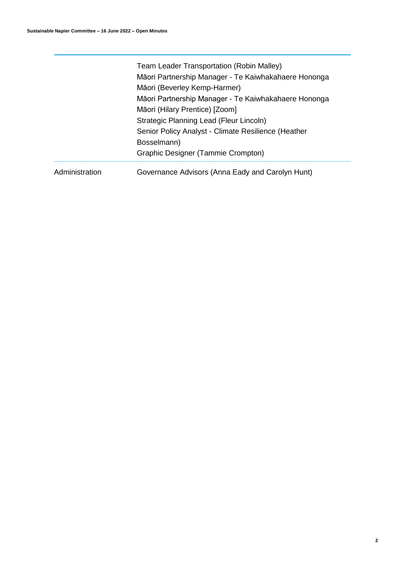|                | Team Leader Transportation (Robin Malley)<br>Māori Partnership Manager - Te Kaiwhakahaere Hononga<br>Māori (Beverley Kemp-Harmer)<br>Māori Partnership Manager - Te Kaiwhakahaere Hononga<br>Māori (Hilary Prentice) [Zoom]<br>Strategic Planning Lead (Fleur Lincoln)<br>Senior Policy Analyst - Climate Resilience (Heather<br>Bosselmann) |
|----------------|----------------------------------------------------------------------------------------------------------------------------------------------------------------------------------------------------------------------------------------------------------------------------------------------------------------------------------------------|
| Administration | Graphic Designer (Tammie Crompton)<br>Governance Advisors (Anna Eady and Carolyn Hunt)                                                                                                                                                                                                                                                       |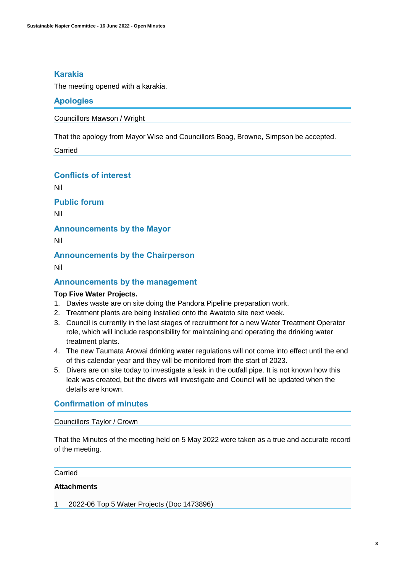## **Karakia**

The meeting opened with a karakia.

## **Apologies**

Councillors Mawson / Wright

That the apology from Mayor Wise and Councillors Boag, Browne, Simpson be accepted.

Carried

## **Conflicts of interest**

Nil

**Public forum** 

Nil

**Announcements by the Mayor**

Nil

**Announcements by the Chairperson**

Nil

## **Announcements by the management**

#### **Top Five Water Projects.**

- 1. Davies waste are on site doing the Pandora Pipeline preparation work.
- 2. Treatment plants are being installed onto the Awatoto site next week.
- 3. Council is currently in the last stages of recruitment for a new Water Treatment Operator role, which will include responsibility for maintaining and operating the drinking water treatment plants.
- 4. The new Taumata Arowai drinking water regulations will not come into effect until the end of this calendar year and they will be monitored from the start of 2023.
- 5. Divers are on site today to investigate a leak in the outfall pipe. It is not known how this leak was created, but the divers will investigate and Council will be updated when the details are known.

## **Confirmation of minutes**

#### Councillors Taylor / Crown

That the Minutes of the meeting held on 5 May 2022 were taken as a true and accurate record of the meeting.

#### Carried

## **Attachments**

1 2022-06 Top 5 Water Projects (Doc 1473896)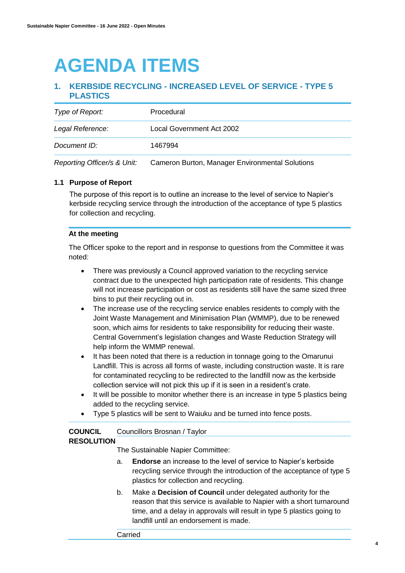## **AGENDA ITEMS**

## **1. KERBSIDE RECYCLING - INCREASED LEVEL OF SERVICE - TYPE 5 PLASTICS**

| Type of Report:             | Procedural                                      |
|-----------------------------|-------------------------------------------------|
| Legal Reference:            | Local Government Act 2002                       |
| Document ID:                | 1467994                                         |
| Reporting Officer/s & Unit: | Cameron Burton, Manager Environmental Solutions |

#### **1.1 Purpose of Report**

The purpose of this report is to outline an increase to the level of service to Napier's kerbside recycling service through the introduction of the acceptance of type 5 plastics for collection and recycling.

#### **At the meeting**

The Officer spoke to the report and in response to questions from the Committee it was noted:

- There was previously a Council approved variation to the recycling service contract due to the unexpected high participation rate of residents. This change will not increase participation or cost as residents still have the same sized three bins to put their recycling out in.
- The increase use of the recycling service enables residents to comply with the Joint Waste Management and Minimisation Plan (WMMP), due to be renewed soon, which aims for residents to take responsibility for reducing their waste. Central Government's legislation changes and Waste Reduction Strategy will help inform the WMMP renewal.
- It has been noted that there is a reduction in tonnage going to the Omarunui Landfill. This is across all forms of waste, including construction waste. It is rare for contaminated recycling to be redirected to the landfill now as the kerbside collection service will not pick this up if it is seen in a resident's crate.
- It will be possible to monitor whether there is an increase in type 5 plastics being added to the recycling service.
- Type 5 plastics will be sent to Waiuku and be turned into fence posts.

#### **COUNCIL** Councillors Brosnan / Taylor

#### **RESOLUTION**

The Sustainable Napier Committee:

- a. **Endorse** an increase to the level of service to Napier's kerbside recycling service through the introduction of the acceptance of type 5 plastics for collection and recycling.
- b. Make a **Decision of Council** under delegated authority for the reason that this service is available to Napier with a short turnaround time, and a delay in approvals will result in type 5 plastics going to landfill until an endorsement is made.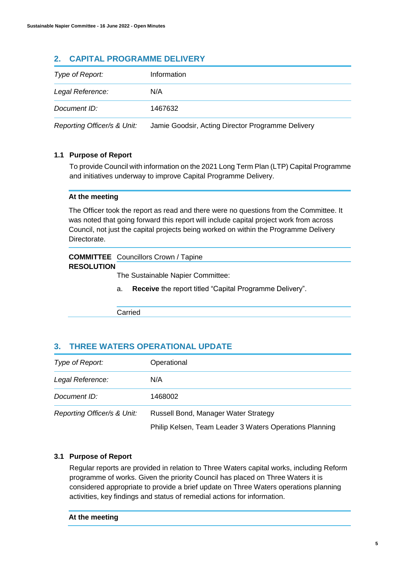## **2. CAPITAL PROGRAMME DELIVERY**

| Type of Report:             | Information                                       |
|-----------------------------|---------------------------------------------------|
| Legal Reference:            | N/A                                               |
| Document ID:                | 1467632                                           |
| Reporting Officer/s & Unit: | Jamie Goodsir, Acting Director Programme Delivery |

## **1.1 Purpose of Report**

To provide Council with information on the 2021 Long Term Plan (LTP) Capital Programme and initiatives underway to improve Capital Programme Delivery.

#### **At the meeting**

The Officer took the report as read and there were no questions from the Committee. It was noted that going forward this report will include capital project work from across Council, not just the capital projects being worked on within the Programme Delivery Directorate.

### **COMMITTEE**  Councillors Crown / Tapine **RESOLUTION**

The Sustainable Napier Committee:

a. **Receive** the report titled "Capital Programme Delivery".

Carried

## **3. THREE WATERS OPERATIONAL UPDATE**

| Type of Report:             | Operational                                             |  |
|-----------------------------|---------------------------------------------------------|--|
| Legal Reference:            | N/A                                                     |  |
| Document ID:                | 1468002                                                 |  |
| Reporting Officer/s & Unit: | Russell Bond, Manager Water Strategy                    |  |
|                             | Philip Kelsen, Team Leader 3 Waters Operations Planning |  |

#### **3.1 Purpose of Report**

Regular reports are provided in relation to Three Waters capital works, including Reform programme of works. Given the priority Council has placed on Three Waters it is considered appropriate to provide a brief update on Three Waters operations planning activities, key findings and status of remedial actions for information.

#### **At the meeting**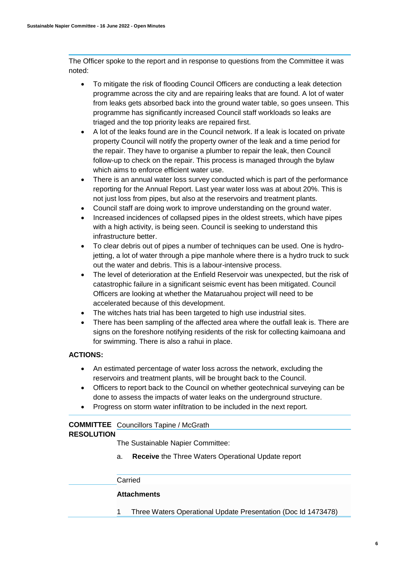The Officer spoke to the report and in response to questions from the Committee it was noted:

- To mitigate the risk of flooding Council Officers are conducting a leak detection programme across the city and are repairing leaks that are found. A lot of water from leaks gets absorbed back into the ground water table, so goes unseen. This programme has significantly increased Council staff workloads so leaks are triaged and the top priority leaks are repaired first.
- A lot of the leaks found are in the Council network. If a leak is located on private property Council will notify the property owner of the leak and a time period for the repair. They have to organise a plumber to repair the leak, then Council follow-up to check on the repair. This process is managed through the bylaw which aims to enforce efficient water use.
- There is an annual water loss survey conducted which is part of the performance reporting for the Annual Report. Last year water loss was at about 20%. This is not just loss from pipes, but also at the reservoirs and treatment plants.
- Council staff are doing work to improve understanding on the ground water.
- Increased incidences of collapsed pipes in the oldest streets, which have pipes with a high activity, is being seen. Council is seeking to understand this infrastructure better.
- To clear debris out of pipes a number of techniques can be used. One is hydrojetting, a lot of water through a pipe manhole where there is a hydro truck to suck out the water and debris. This is a labour-intensive process.
- The level of deterioration at the Enfield Reservoir was unexpected, but the risk of catastrophic failure in a significant seismic event has been mitigated. Council Officers are looking at whether the Mataruahou project will need to be accelerated because of this development.
- The witches hats trial has been targeted to high use industrial sites.
- There has been sampling of the affected area where the outfall leak is. There are signs on the foreshore notifying residents of the risk for collecting kaimoana and for swimming. There is also a rahui in place.

#### **ACTIONS:**

- An estimated percentage of water loss across the network, excluding the reservoirs and treatment plants, will be brought back to the Council.
- Officers to report back to the Council on whether geotechnical surveying can be done to assess the impacts of water leaks on the underground structure.
- Progress on storm water infiltration to be included in the next report.

#### **COMMITTEE**  Councillors Tapine / McGrath **RESOLUTION**

The Sustainable Napier Committee:

a. **Receive** the Three Waters Operational Update report

#### Carried

#### **Attachments**

1 Three Waters Operational Update Presentation (Doc Id 1473478)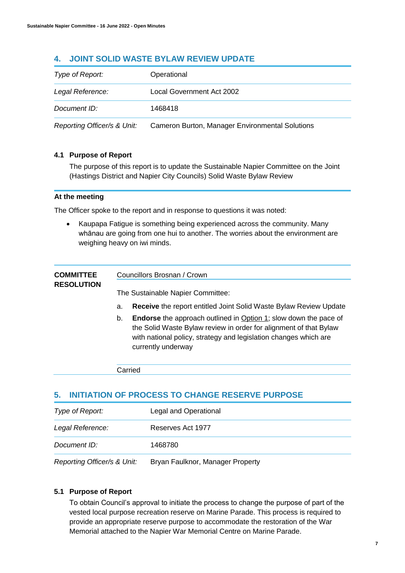## **4. JOINT SOLID WASTE BYLAW REVIEW UPDATE**

| Type of Report:             | Operational                                     |
|-----------------------------|-------------------------------------------------|
| Legal Reference:            | Local Government Act 2002                       |
| Document ID:                | 1468418                                         |
| Reporting Officer/s & Unit: | Cameron Burton, Manager Environmental Solutions |

### **4.1 Purpose of Report**

The purpose of this report is to update the Sustainable Napier Committee on the Joint (Hastings District and Napier City Councils) Solid Waste Bylaw Review

#### **At the meeting**

The Officer spoke to the report and in response to questions it was noted:

• Kaupapa Fatigue is something being experienced across the community. Many whānau are going from one hui to another. The worries about the environment are weighing heavy on iwi minds.

| <b>COMMITTEE</b><br><b>RESOLUTION</b> | Councillors Brosnan / Crown       |                                                                                                                                                                                                                                        |  |
|---------------------------------------|-----------------------------------|----------------------------------------------------------------------------------------------------------------------------------------------------------------------------------------------------------------------------------------|--|
|                                       | The Sustainable Napier Committee: |                                                                                                                                                                                                                                        |  |
|                                       | a.                                | <b>Receive</b> the report entitled Joint Solid Waste Bylaw Review Update                                                                                                                                                               |  |
|                                       | b.                                | <b>Endorse</b> the approach outlined in Option 1; slow down the pace of<br>the Solid Waste Bylaw review in order for alignment of that Bylaw<br>with national policy, strategy and legislation changes which are<br>currently underway |  |

Carried

## **5. INITIATION OF PROCESS TO CHANGE RESERVE PURPOSE**

|                  | .                     |
|------------------|-----------------------|
| Document ID:     | 1468780               |
| Legal Reference: | Reserves Act 1977     |
| Type of Report:  | Legal and Operational |

*Reporting Officer/s & Unit:* Bryan Faulknor, Manager Property

#### **5.1 Purpose of Report**

To obtain Council's approval to initiate the process to change the purpose of part of the vested local purpose recreation reserve on Marine Parade. This process is required to provide an appropriate reserve purpose to accommodate the restoration of the War Memorial attached to the Napier War Memorial Centre on Marine Parade.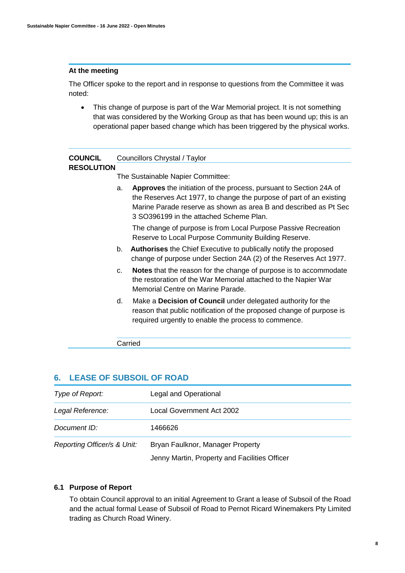#### **At the meeting**

The Officer spoke to the report and in response to questions from the Committee it was noted:

 This change of purpose is part of the War Memorial project. It is not something that was considered by the Working Group as that has been wound up; this is an operational paper based change which has been triggered by the physical works.

| COUNCIL<br><b>RESOLUTION</b> |                                   | Councillors Chrystal / Taylor                                                                                                                                                                                                                                   |  |  |
|------------------------------|-----------------------------------|-----------------------------------------------------------------------------------------------------------------------------------------------------------------------------------------------------------------------------------------------------------------|--|--|
|                              | The Sustainable Napier Committee: |                                                                                                                                                                                                                                                                 |  |  |
|                              | a.                                | <b>Approves</b> the initiation of the process, pursuant to Section 24A of<br>the Reserves Act 1977, to change the purpose of part of an existing<br>Marine Parade reserve as shown as area B and described as Pt Sec<br>3 SO396199 in the attached Scheme Plan. |  |  |
|                              |                                   | The change of purpose is from Local Purpose Passive Recreation<br>Reserve to Local Purpose Community Building Reserve.                                                                                                                                          |  |  |
|                              | b.                                | <b>Authorises</b> the Chief Executive to publically notify the proposed<br>change of purpose under Section 24A (2) of the Reserves Act 1977.                                                                                                                    |  |  |
|                              | $\mathbf{C}$                      | Notes that the reason for the change of purpose is to accommodate<br>the restoration of the War Memorial attached to the Napier War<br>Memorial Centre on Marine Parade.                                                                                        |  |  |
|                              | d.                                | Make a Decision of Council under delegated authority for the<br>reason that public notification of the proposed change of purpose is<br>required urgently to enable the process to commence.                                                                    |  |  |
|                              |                                   | Carried                                                                                                                                                                                                                                                         |  |  |

## **6. LEASE OF SUBSOIL OF ROAD**

| Type of Report:             | Legal and Operational                         |  |
|-----------------------------|-----------------------------------------------|--|
| Legal Reference:            | Local Government Act 2002                     |  |
| Document ID:                | 1466626                                       |  |
| Reporting Officer/s & Unit: | Bryan Faulknor, Manager Property              |  |
|                             | Jenny Martin, Property and Facilities Officer |  |

#### **6.1 Purpose of Report**

To obtain Council approval to an initial Agreement to Grant a lease of Subsoil of the Road and the actual formal Lease of Subsoil of Road to Pernot Ricard Winemakers Pty Limited trading as Church Road Winery.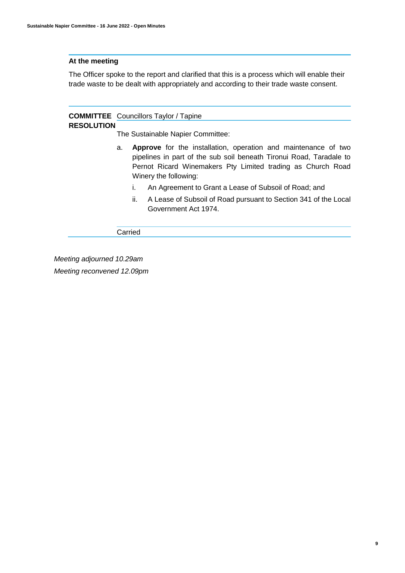#### **At the meeting**

The Officer spoke to the report and clarified that this is a process which will enable their trade waste to be dealt with appropriately and according to their trade waste consent.

#### **COMMITTEE**  Councillors Taylor / Tapine **RESOLUTION**

The Sustainable Napier Committee:

- a. **Approve** for the installation, operation and maintenance of two pipelines in part of the sub soil beneath Tironui Road, Taradale to Pernot Ricard Winemakers Pty Limited trading as Church Road Winery the following:
	- i. An Agreement to Grant a Lease of Subsoil of Road; and
	- ii. A Lease of Subsoil of Road pursuant to Section 341 of the Local Government Act 1974.

Carried

*Meeting adjourned 10.29am Meeting reconvened 12.09pm*